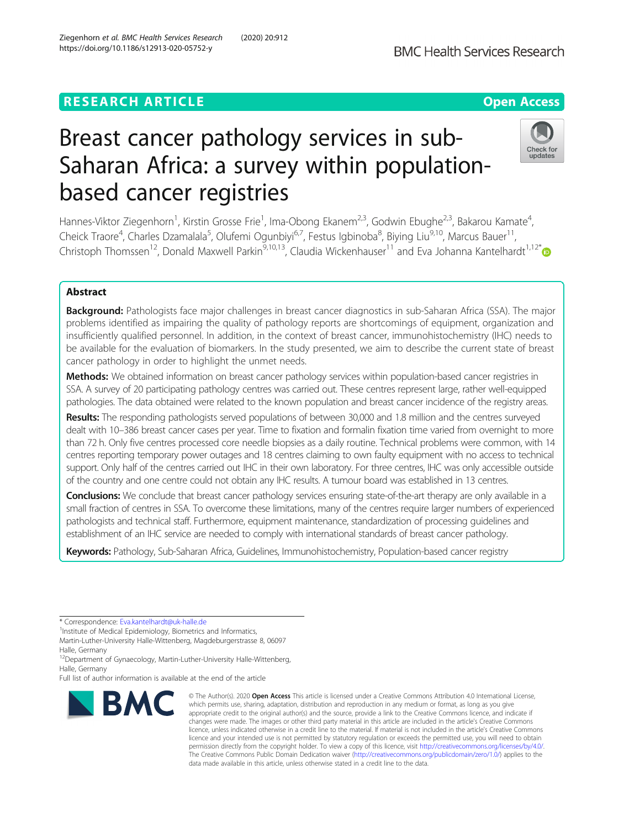## **RESEARCH ARTICLE Example 2014 12:30 The Contract of Contract ACCESS**

# Breast cancer pathology services in sub-Saharan Africa: a survey within populationbased cancer registries

Hannes-Viktor Ziegenhorn<sup>1</sup>, Kirstin Grosse Frie<sup>1</sup>, Ima-Obong Ekanem<sup>2,3</sup>, Godwin Ebughe<sup>2,3</sup>, Bakarou Kamate<sup>4</sup> , Cheick Traore<sup>4</sup>, Charles Dzamalala<sup>5</sup>, Olufemi Ogunbiyi<sup>6,7</sup>, Festus Igbinoba<sup>8</sup>, Biying Liu<sup>9,10</sup>, Marcus Bauer<sup>11</sup>, Christoph Thomssen<sup>12</sup>, Donald Maxwell Parkin<sup>9,10,13</sup>, Claudia Wickenhauser<sup>11</sup> and Eva Johanna Kantelhardt<sup>1,12[\\*](http://orcid.org/0000-0001-7935-719X)</sup>

### Abstract

Background: Pathologists face major challenges in breast cancer diagnostics in sub-Saharan Africa (SSA). The major problems identified as impairing the quality of pathology reports are shortcomings of equipment, organization and insufficiently qualified personnel. In addition, in the context of breast cancer, immunohistochemistry (IHC) needs to be available for the evaluation of biomarkers. In the study presented, we aim to describe the current state of breast cancer pathology in order to highlight the unmet needs.

Methods: We obtained information on breast cancer pathology services within population-based cancer registries in SSA. A survey of 20 participating pathology centres was carried out. These centres represent large, rather well-equipped pathologies. The data obtained were related to the known population and breast cancer incidence of the registry areas.

Results: The responding pathologists served populations of between 30,000 and 1.8 million and the centres surveyed dealt with 10–386 breast cancer cases per year. Time to fixation and formalin fixation time varied from overnight to more than 72 h. Only five centres processed core needle biopsies as a daily routine. Technical problems were common, with 14 centres reporting temporary power outages and 18 centres claiming to own faulty equipment with no access to technical support. Only half of the centres carried out IHC in their own laboratory. For three centres, IHC was only accessible outside of the country and one centre could not obtain any IHC results. A tumour board was established in 13 centres.

Conclusions: We conclude that breast cancer pathology services ensuring state-of-the-art therapy are only available in a small fraction of centres in SSA. To overcome these limitations, many of the centres require larger numbers of experienced pathologists and technical staff. Furthermore, equipment maintenance, standardization of processing guidelines and establishment of an IHC service are needed to comply with international standards of breast cancer pathology.

Keywords: Pathology, Sub-Saharan Africa, Guidelines, Immunohistochemistry, Population-based cancer registry

\* Correspondence: [Eva.kantelhardt@uk-halle.de](mailto:Eva.kantelhardt@uk-halle.de) <sup>1</sup>

**BMC** 

<sup>1</sup> Institute of Medical Epidemiology, Biometrics and Informatics,

Martin-Luther-University Halle-Wittenberg, Magdeburgerstrasse 8, 06097 Halle, Germany

<sup>12</sup>Department of Gynaecology, Martin-Luther-University Halle-Wittenberg, Halle, Germany

Full list of author information is available at the end of the article



© The Author(s), 2020 **Open Access** This article is licensed under a Creative Commons Attribution 4.0 International License, which permits use, sharing, adaptation, distribution and reproduction in any medium or format, as long as you give



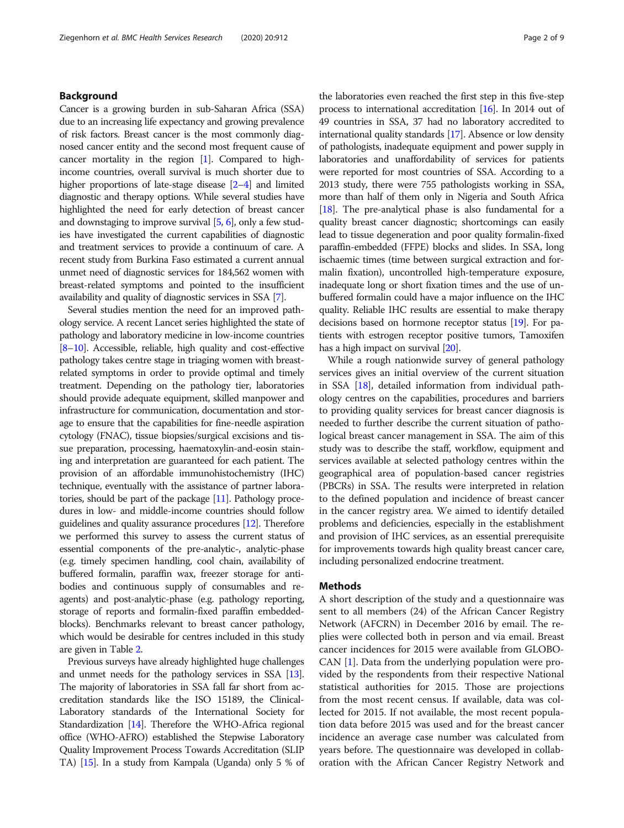#### Background

Cancer is a growing burden in sub-Saharan Africa (SSA) due to an increasing life expectancy and growing prevalence of risk factors. Breast cancer is the most commonly diagnosed cancer entity and the second most frequent cause of cancer mortality in the region [\[1\]](#page-7-0). Compared to highincome countries, overall survival is much shorter due to higher proportions of late-stage disease  $[2-4]$  $[2-4]$  $[2-4]$  $[2-4]$  and limited diagnostic and therapy options. While several studies have highlighted the need for early detection of breast cancer and downstaging to improve survival [\[5](#page-8-0), [6](#page-8-0)], only a few studies have investigated the current capabilities of diagnostic and treatment services to provide a continuum of care. A recent study from Burkina Faso estimated a current annual unmet need of diagnostic services for 184,562 women with breast-related symptoms and pointed to the insufficient availability and quality of diagnostic services in SSA [\[7](#page-8-0)].

Several studies mention the need for an improved pathology service. A recent Lancet series highlighted the state of pathology and laboratory medicine in low-income countries [[8](#page-8-0)–[10\]](#page-8-0). Accessible, reliable, high quality and cost-effective pathology takes centre stage in triaging women with breastrelated symptoms in order to provide optimal and timely treatment. Depending on the pathology tier, laboratories should provide adequate equipment, skilled manpower and infrastructure for communication, documentation and storage to ensure that the capabilities for fine-needle aspiration cytology (FNAC), tissue biopsies/surgical excisions and tissue preparation, processing, haematoxylin-and-eosin staining and interpretation are guaranteed for each patient. The provision of an affordable immunohistochemistry (IHC) technique, eventually with the assistance of partner laboratories, should be part of the package [\[11\]](#page-8-0). Pathology procedures in low- and middle-income countries should follow guidelines and quality assurance procedures [[12\]](#page-8-0). Therefore we performed this survey to assess the current status of essential components of the pre-analytic-, analytic-phase (e.g. timely specimen handling, cool chain, availability of buffered formalin, paraffin wax, freezer storage for antibodies and continuous supply of consumables and reagents) and post-analytic-phase (e.g. pathology reporting, storage of reports and formalin-fixed paraffin embeddedblocks). Benchmarks relevant to breast cancer pathology, which would be desirable for centres included in this study are given in Table [2](#page-5-0).

Previous surveys have already highlighted huge challenges and unmet needs for the pathology services in SSA [\[13](#page-8-0)]. The majority of laboratories in SSA fall far short from accreditation standards like the ISO 15189, the Clinical-Laboratory standards of the International Society for Standardization [\[14\]](#page-8-0). Therefore the WHO-Africa regional office (WHO-AFRO) established the Stepwise Laboratory Quality Improvement Process Towards Accreditation (SLIP TA) [[15](#page-8-0)]. In a study from Kampala (Uganda) only 5 % of the laboratories even reached the first step in this five-step process to international accreditation [\[16](#page-8-0)]. In 2014 out of 49 countries in SSA, 37 had no laboratory accredited to international quality standards [[17](#page-8-0)]. Absence or low density of pathologists, inadequate equipment and power supply in laboratories and unaffordability of services for patients were reported for most countries of SSA. According to a 2013 study, there were 755 pathologists working in SSA, more than half of them only in Nigeria and South Africa [[18](#page-8-0)]. The pre-analytical phase is also fundamental for a quality breast cancer diagnostic; shortcomings can easily lead to tissue degeneration and poor quality formalin-fixed paraffin-embedded (FFPE) blocks and slides. In SSA, long ischaemic times (time between surgical extraction and formalin fixation), uncontrolled high-temperature exposure, inadequate long or short fixation times and the use of unbuffered formalin could have a major influence on the IHC quality. Reliable IHC results are essential to make therapy decisions based on hormone receptor status [\[19\]](#page-8-0). For patients with estrogen receptor positive tumors, Tamoxifen has a high impact on survival [\[20\]](#page-8-0).

While a rough nationwide survey of general pathology services gives an initial overview of the current situation in SSA [[18](#page-8-0)], detailed information from individual pathology centres on the capabilities, procedures and barriers to providing quality services for breast cancer diagnosis is needed to further describe the current situation of pathological breast cancer management in SSA. The aim of this study was to describe the staff, workflow, equipment and services available at selected pathology centres within the geographical area of population-based cancer registries (PBCRs) in SSA. The results were interpreted in relation to the defined population and incidence of breast cancer in the cancer registry area. We aimed to identify detailed problems and deficiencies, especially in the establishment and provision of IHC services, as an essential prerequisite for improvements towards high quality breast cancer care, including personalized endocrine treatment.

#### Methods

A short description of the study and a questionnaire was sent to all members (24) of the African Cancer Registry Network (AFCRN) in December 2016 by email. The replies were collected both in person and via email. Breast cancer incidences for 2015 were available from GLOBO-CAN [[1\]](#page-7-0). Data from the underlying population were provided by the respondents from their respective National statistical authorities for 2015. Those are projections from the most recent census. If available, data was collected for 2015. If not available, the most recent population data before 2015 was used and for the breast cancer incidence an average case number was calculated from years before. The questionnaire was developed in collaboration with the African Cancer Registry Network and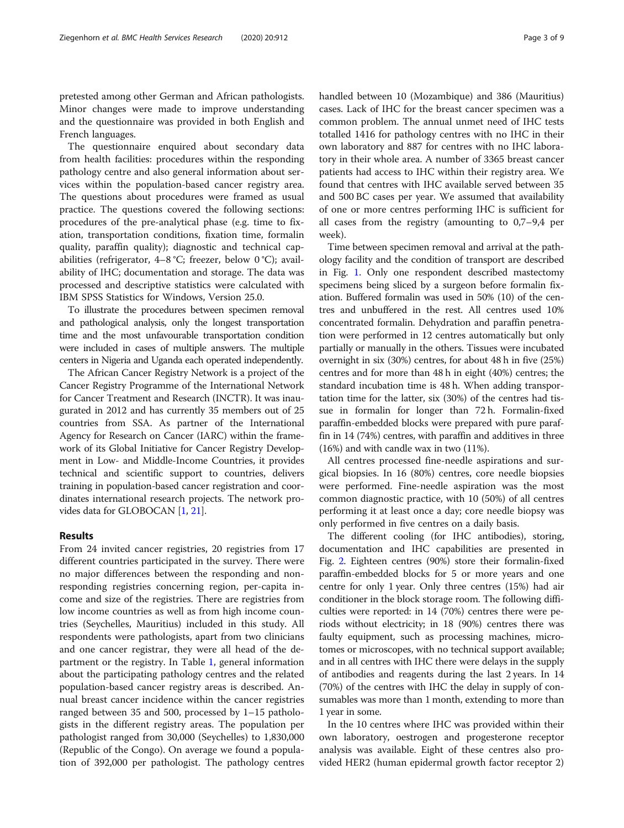The questionnaire enquired about secondary data from health facilities: procedures within the responding pathology centre and also general information about services within the population-based cancer registry area. The questions about procedures were framed as usual practice. The questions covered the following sections: procedures of the pre-analytical phase (e.g. time to fixation, transportation conditions, fixation time, formalin quality, paraffin quality); diagnostic and technical capabilities (refrigerator, 4–8 °C; freezer, below 0 °C); availability of IHC; documentation and storage. The data was processed and descriptive statistics were calculated with IBM SPSS Statistics for Windows, Version 25.0.

To illustrate the procedures between specimen removal and pathological analysis, only the longest transportation time and the most unfavourable transportation condition were included in cases of multiple answers. The multiple centers in Nigeria and Uganda each operated independently.

The African Cancer Registry Network is a project of the Cancer Registry Programme of the International Network for Cancer Treatment and Research (INCTR). It was inaugurated in 2012 and has currently 35 members out of 25 countries from SSA. As partner of the International Agency for Research on Cancer (IARC) within the framework of its Global Initiative for Cancer Registry Development in Low- and Middle-Income Countries, it provides technical and scientific support to countries, delivers training in population-based cancer registration and coordinates international research projects. The network provides data for GLOBOCAN [[1,](#page-7-0) [21](#page-8-0)].

#### Results

From 24 invited cancer registries, 20 registries from 17 different countries participated in the survey. There were no major differences between the responding and nonresponding registries concerning region, per-capita income and size of the registries. There are registries from low income countries as well as from high income countries (Seychelles, Mauritius) included in this study. All respondents were pathologists, apart from two clinicians and one cancer registrar, they were all head of the department or the registry. In Table [1](#page-3-0), general information about the participating pathology centres and the related population-based cancer registry areas is described. Annual breast cancer incidence within the cancer registries ranged between 35 and 500, processed by 1–15 pathologists in the different registry areas. The population per pathologist ranged from 30,000 (Seychelles) to 1,830,000 (Republic of the Congo). On average we found a population of 392,000 per pathologist. The pathology centres handled between 10 (Mozambique) and 386 (Mauritius) cases. Lack of IHC for the breast cancer specimen was a common problem. The annual unmet need of IHC tests totalled 1416 for pathology centres with no IHC in their own laboratory and 887 for centres with no IHC laboratory in their whole area. A number of 3365 breast cancer patients had access to IHC within their registry area. We found that centres with IHC available served between 35

week). Time between specimen removal and arrival at the pathology facility and the condition of transport are described in Fig. [1.](#page-4-0) Only one respondent described mastectomy specimens being sliced by a surgeon before formalin fixation. Buffered formalin was used in 50% (10) of the centres and unbuffered in the rest. All centres used 10% concentrated formalin. Dehydration and paraffin penetration were performed in 12 centres automatically but only partially or manually in the others. Tissues were incubated overnight in six (30%) centres, for about 48 h in five (25%) centres and for more than 48 h in eight (40%) centres; the standard incubation time is 48 h. When adding transportation time for the latter, six (30%) of the centres had tissue in formalin for longer than 72 h. Formalin-fixed paraffin-embedded blocks were prepared with pure paraffin in 14 (74%) centres, with paraffin and additives in three (16%) and with candle wax in two (11%).

and 500 BC cases per year. We assumed that availability of one or more centres performing IHC is sufficient for all cases from the registry (amounting to 0,7–9,4 per

All centres processed fine-needle aspirations and surgical biopsies. In 16 (80%) centres, core needle biopsies were performed. Fine-needle aspiration was the most common diagnostic practice, with 10 (50%) of all centres performing it at least once a day; core needle biopsy was only performed in five centres on a daily basis.

The different cooling (for IHC antibodies), storing, documentation and IHC capabilities are presented in Fig. [2](#page-4-0). Eighteen centres (90%) store their formalin-fixed paraffin-embedded blocks for 5 or more years and one centre for only 1 year. Only three centres (15%) had air conditioner in the block storage room. The following difficulties were reported: in 14 (70%) centres there were periods without electricity; in 18 (90%) centres there was faulty equipment, such as processing machines, microtomes or microscopes, with no technical support available; and in all centres with IHC there were delays in the supply of antibodies and reagents during the last 2 years. In 14 (70%) of the centres with IHC the delay in supply of consumables was more than 1 month, extending to more than 1 year in some.

In the 10 centres where IHC was provided within their own laboratory, oestrogen and progesterone receptor analysis was available. Eight of these centres also provided HER2 (human epidermal growth factor receptor 2)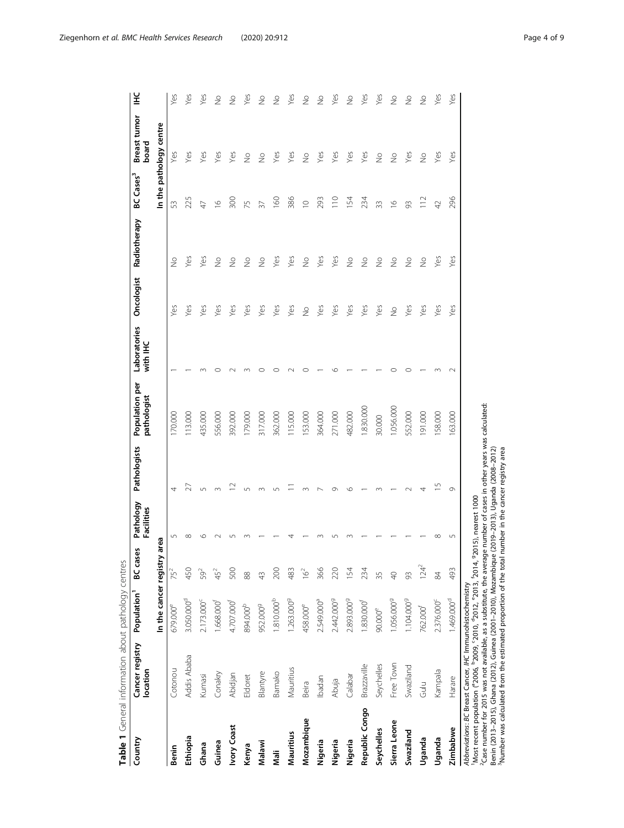<span id="page-3-0"></span>

|                    | Table 1 General information about pathology centres                                                                                                                                                                                                                                                                                                                                                                                                                                                                                     |                         |                 |                                |              |                               |                          |               |               |                       |                              |               |
|--------------------|-----------------------------------------------------------------------------------------------------------------------------------------------------------------------------------------------------------------------------------------------------------------------------------------------------------------------------------------------------------------------------------------------------------------------------------------------------------------------------------------------------------------------------------------|-------------------------|-----------------|--------------------------------|--------------|-------------------------------|--------------------------|---------------|---------------|-----------------------|------------------------------|---------------|
| Country            | Cancer registry<br>location                                                                                                                                                                                                                                                                                                                                                                                                                                                                                                             | Population <sup>1</sup> | BC cases        | Pathology<br><b>Facilities</b> | Pathologists | Population per<br>pathologist | Laboratories<br>with IHC | Oncologist    | Radiotherapy  | BC Cases <sup>3</sup> | <b>Breast tumor</b><br>board | ¥             |
|                    |                                                                                                                                                                                                                                                                                                                                                                                                                                                                                                                                         | In the cancer registry  | area            |                                |              |                               |                          |               |               |                       | In the pathology centre      |               |
| Benin              | Cotonou                                                                                                                                                                                                                                                                                                                                                                                                                                                                                                                                 | 679.000 <sup>e</sup>    | 75 <sup>2</sup> | 5                              | 4            | 170.000                       |                          | Yes           | $\geq$        | S                     | Yes                          | Yes           |
| Ethiopia           | Addis Ababa                                                                                                                                                                                                                                                                                                                                                                                                                                                                                                                             | 3.050.000 <sup>d</sup>  | 450             | $\infty$                       | Ν            | 113.000                       |                          | Yes           | Yes           | 225                   | Yes                          | Yes           |
| Ghana              | Kumasi                                                                                                                                                                                                                                                                                                                                                                                                                                                                                                                                  | 2.173.000 <sup>c</sup>  | 59 <sup>2</sup> | ⊾                              | Ľ            | 435.000                       |                          | Yes           | Yes           | $\overline{4}$        | Yes                          | Yes           |
| Guinea             | Conakry                                                                                                                                                                                                                                                                                                                                                                                                                                                                                                                                 | 1.668.000               | 45 <sup>2</sup> |                                | $\sim$       | 556.000                       |                          | Yes           | $\frac{1}{2}$ | $\overline{\circ}$    | Yes                          | $\frac{1}{2}$ |
| <b>Ivory Coast</b> | Abidjan                                                                                                                                                                                                                                                                                                                                                                                                                                                                                                                                 | 4.707.000               | 500             |                                |              | 392.000                       |                          | Yes           | $\geq$        | 300                   | Yes                          | $\frac{1}{2}$ |
| Kenya              | Eldoret                                                                                                                                                                                                                                                                                                                                                                                                                                                                                                                                 | 894.000 <sup>b</sup>    | 88              |                                | S            | 179.000                       |                          | Yes           | $\geq$        | 75                    | $\frac{1}{2}$                | Yes           |
| Malawi             | Blantyre                                                                                                                                                                                                                                                                                                                                                                                                                                                                                                                                | 952.0009                | $\frac{1}{4}$   |                                |              | 317.000                       |                          | Yes           | $\geq$        | $\overline{37}$       | $\frac{1}{2}$                | $\geq$        |
| Ñ                  | Bamako                                                                                                                                                                                                                                                                                                                                                                                                                                                                                                                                  | 1.810.000 <sup>b</sup>  | 200             |                                | $\sqrt{2}$   | 362.000                       |                          | Yes           | Yes           | $\overline{5}$        | Yes                          | $\geq$        |
| Mauritius          | Mauritius                                                                                                                                                                                                                                                                                                                                                                                                                                                                                                                               | 1.263.0009              | 483             |                                |              | 115.000                       |                          | Yes           | Yes           | 386                   | Yes                          | Yes           |
| Mozambique         | Beira                                                                                                                                                                                                                                                                                                                                                                                                                                                                                                                                   | 458.000 <sup>e</sup>    | 16 <sup>2</sup> |                                |              | 153.000                       |                          | $\frac{1}{2}$ | $\geq$        | $\subseteq$           | $\frac{1}{2}$                | $\frac{1}{2}$ |
| Nigeria            | Ibadan                                                                                                                                                                                                                                                                                                                                                                                                                                                                                                                                  | 2.549.000 <sup>a</sup>  | 366             |                                |              | 364.000                       |                          | Yes           | Yes           | 293                   | Yes                          | $\frac{1}{2}$ |
| Nigeria            | Abuja                                                                                                                                                                                                                                                                                                                                                                                                                                                                                                                                   | 2.442.0009              | 220             |                                | റ്റ          | 271.000                       |                          | Yes           | Yes           | $\subseteq$           | Yes                          | Yes           |
| Nigeria            | Calabar                                                                                                                                                                                                                                                                                                                                                                                                                                                                                                                                 | 2.893.0009              | 154             |                                | ١C           | 482.000                       |                          | Yes           | $\geq$        | 154                   | Yes                          | $\geq$        |
| Republic Congo     | Brazzaville                                                                                                                                                                                                                                                                                                                                                                                                                                                                                                                             | 1.830.000               | 234             |                                |              | 1.830.000                     |                          | Yes           | $\frac{1}{2}$ | 234                   | Yes                          | Yes           |
| Seychelles         | Seychelles                                                                                                                                                                                                                                                                                                                                                                                                                                                                                                                              | $90.000^e$              | 35              |                                |              | 30.000                        |                          | Yes           | $\geq$        | 33                    | $\frac{1}{2}$                | Yes           |
| Sierra Leone       | Free Town                                                                                                                                                                                                                                                                                                                                                                                                                                                                                                                               | 1.056.0009              | $\Theta$        |                                |              | 1.056.000                     |                          | $\frac{1}{2}$ | $\geq$        | $\overline{6}$        | $\frac{1}{2}$                | $\geq$        |
| Swaziland          | Swaziland                                                                                                                                                                                                                                                                                                                                                                                                                                                                                                                               | 1.104.0009              | 93              |                                |              | 552.000                       | C                        | Yes           | $\geq$        | 93                    | Yes                          | $\geq$        |
| Uganda             | Gulu                                                                                                                                                                                                                                                                                                                                                                                                                                                                                                                                    | 762.000 <sup>f</sup>    | $124^{2}$       |                                |              | 000.161                       |                          | Yes           | $\frac{1}{2}$ | 112                   | $\frac{1}{2}$                | $\geq$        |
| Uganda             | Kampala                                                                                                                                                                                                                                                                                                                                                                                                                                                                                                                                 | 2.376.000               | 84              | $\infty$                       | 5            | 158.000                       |                          | Yes           | Yes           | $\overline{4}$        | Yes                          | Yes           |
| Zimbabwe           | Harare                                                                                                                                                                                                                                                                                                                                                                                                                                                                                                                                  | 1.469.000 <sup>d</sup>  | 493             | $\sqrt{ }$                     | $\circ$      | 163.000                       | $\sim$                   | Yes           | Yes           | 296                   | Yes                          | Yes           |
|                    | <sup>2</sup> Case number for 2015 was not available, as a substitute, the average number of cases in other years was calculated:<br>Benin (2013–2015), Ghana (2012), Guinea (2001–2010), Mozambique (2019–2013), Uganda (2008–2012)<br>Number was calculated from the estimated proportion of the total number in the cancer registry area<br>Most recent population (2006, <sup>b</sup> 2009, <sup>c</sup> 2010, <sup>d</sup> 2012, <sup>e</sup> 2013, <sup>f</sup> 2014,<br>Abbreviations: BC Breast Cancer, IHC Immunohistochemistry |                         |                 | 92015), nearest 1000           |              |                               |                          |               |               |                       |                              |               |
|                    |                                                                                                                                                                                                                                                                                                                                                                                                                                                                                                                                         |                         |                 |                                |              |                               |                          |               |               |                       |                              |               |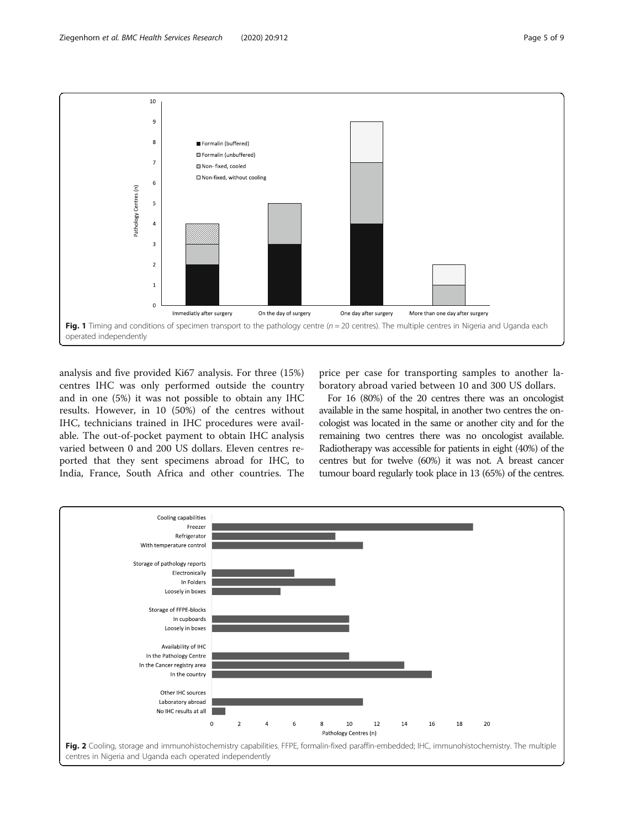<span id="page-4-0"></span>

analysis and five provided Ki67 analysis. For three (15%) centres IHC was only performed outside the country and in one (5%) it was not possible to obtain any IHC results. However, in 10 (50%) of the centres without IHC, technicians trained in IHC procedures were available. The out-of-pocket payment to obtain IHC analysis varied between 0 and 200 US dollars. Eleven centres reported that they sent specimens abroad for IHC, to India, France, South Africa and other countries. The

price per case for transporting samples to another laboratory abroad varied between 10 and 300 US dollars.

For 16 (80%) of the 20 centres there was an oncologist available in the same hospital, in another two centres the oncologist was located in the same or another city and for the remaining two centres there was no oncologist available. Radiotherapy was accessible for patients in eight (40%) of the centres but for twelve (60%) it was not. A breast cancer tumour board regularly took place in 13 (65%) of the centres.

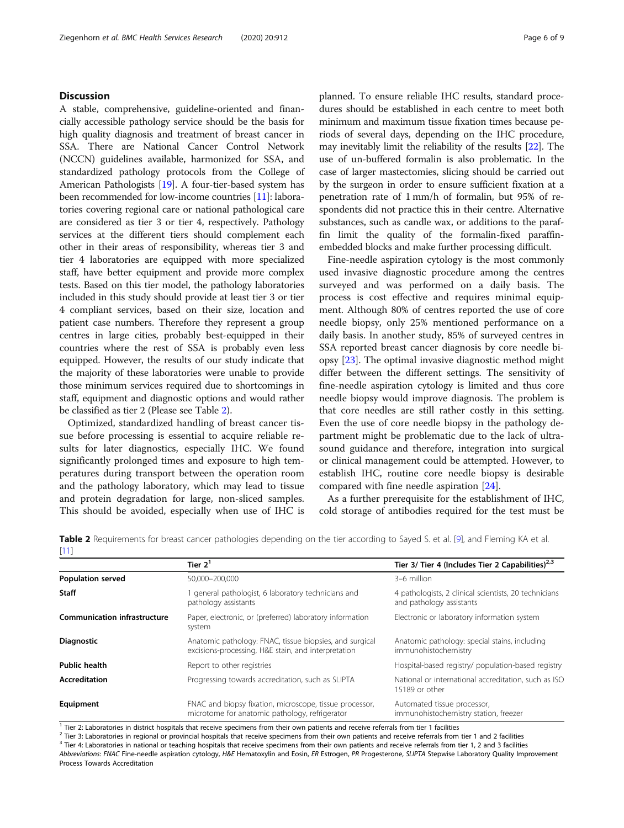#### <span id="page-5-0"></span>**Discussion**

A stable, comprehensive, guideline-oriented and financially accessible pathology service should be the basis for high quality diagnosis and treatment of breast cancer in SSA. There are National Cancer Control Network (NCCN) guidelines available, harmonized for SSA, and standardized pathology protocols from the College of American Pathologists [\[19](#page-8-0)]. A four-tier-based system has been recommended for low-income countries [\[11\]](#page-8-0): laboratories covering regional care or national pathological care are considered as tier 3 or tier 4, respectively. Pathology services at the different tiers should complement each other in their areas of responsibility, whereas tier 3 and tier 4 laboratories are equipped with more specialized staff, have better equipment and provide more complex tests. Based on this tier model, the pathology laboratories included in this study should provide at least tier 3 or tier 4 compliant services, based on their size, location and patient case numbers. Therefore they represent a group centres in large cities, probably best-equipped in their countries where the rest of SSA is probably even less equipped. However, the results of our study indicate that the majority of these laboratories were unable to provide those minimum services required due to shortcomings in staff, equipment and diagnostic options and would rather be classified as tier 2 (Please see Table 2).

Optimized, standardized handling of breast cancer tissue before processing is essential to acquire reliable results for later diagnostics, especially IHC. We found significantly prolonged times and exposure to high temperatures during transport between the operation room and the pathology laboratory, which may lead to tissue and protein degradation for large, non-sliced samples. This should be avoided, especially when use of IHC is planned. To ensure reliable IHC results, standard procedures should be established in each centre to meet both minimum and maximum tissue fixation times because periods of several days, depending on the IHC procedure, may inevitably limit the reliability of the results [\[22\]](#page-8-0). The use of un-buffered formalin is also problematic. In the case of larger mastectomies, slicing should be carried out by the surgeon in order to ensure sufficient fixation at a penetration rate of 1 mm/h of formalin, but 95% of respondents did not practice this in their centre. Alternative substances, such as candle wax, or additions to the paraffin limit the quality of the formalin-fixed paraffinembedded blocks and make further processing difficult.

Fine-needle aspiration cytology is the most commonly used invasive diagnostic procedure among the centres surveyed and was performed on a daily basis. The process is cost effective and requires minimal equipment. Although 80% of centres reported the use of core needle biopsy, only 25% mentioned performance on a daily basis. In another study, 85% of surveyed centres in SSA reported breast cancer diagnosis by core needle biopsy [\[23](#page-8-0)]. The optimal invasive diagnostic method might differ between the different settings. The sensitivity of fine-needle aspiration cytology is limited and thus core needle biopsy would improve diagnosis. The problem is that core needles are still rather costly in this setting. Even the use of core needle biopsy in the pathology department might be problematic due to the lack of ultrasound guidance and therefore, integration into surgical or clinical management could be attempted. However, to establish IHC, routine core needle biopsy is desirable compared with fine needle aspiration [[24\]](#page-8-0).

As a further prerequisite for the establishment of IHC, cold storage of antibodies required for the test must be

Table 2 Requirements for breast cancer pathologies depending on the tier according to Sayed S. et al. [[9\]](#page-8-0), and Fleming KA et al. [\[11\]](#page-8-0)

|                                     | Tier $21$                                                                                                      | Tier 3/ Tier 4 (Includes Tier 2 Capabilities) $^{2,3}$                            |
|-------------------------------------|----------------------------------------------------------------------------------------------------------------|-----------------------------------------------------------------------------------|
| <b>Population served</b>            | 50.000-200.000                                                                                                 | 3-6 million                                                                       |
| <b>Staff</b>                        | general pathologist, 6 laboratory technicians and<br>pathology assistants                                      | 4 pathologists, 2 clinical scientists, 20 technicians<br>and pathology assistants |
| <b>Communication infrastructure</b> | Paper, electronic, or (preferred) laboratory information<br>system                                             | Electronic or laboratory information system                                       |
| <b>Diagnostic</b>                   | Anatomic pathology: FNAC, tissue biopsies, and surgical<br>excisions-processing, H&E stain, and interpretation | Anatomic pathology: special stains, including<br>immunohistochemistry             |
| <b>Public health</b>                | Report to other registries                                                                                     | Hospital-based registry/ population-based registry                                |
| <b>Accreditation</b>                | Progressing towards accreditation, such as SLIPTA                                                              | National or international accreditation, such as ISO<br>15189 or other            |
| Equipment                           | FNAC and biopsy fixation, microscope, tissue processor,<br>microtome for anatomic pathology, refrigerator      | Automated tissue processor,<br>immunohistochemistry station, freezer              |

 $\frac{1}{1}$  Tier 2: Laboratories in district hospitals that receive specimens from their own patients and receive referrals from tier 1 facilities

<sup>2</sup> Tier 3: Laboratories in regional or provincial hospitals that receive specimens from their own patients and receive referrals from tier 1 and 2 facilities <sup>3</sup> Tier 3: Laboratories in national or teaching hospitals tha

Abbreviations: FNAC Fine-needle aspiration cytology, H&E Hematoxylin and Eosin, ER Estrogen, PR Progesterone, SLIPTA Stepwise Laboratory Quality Improvement Process Towards Accreditation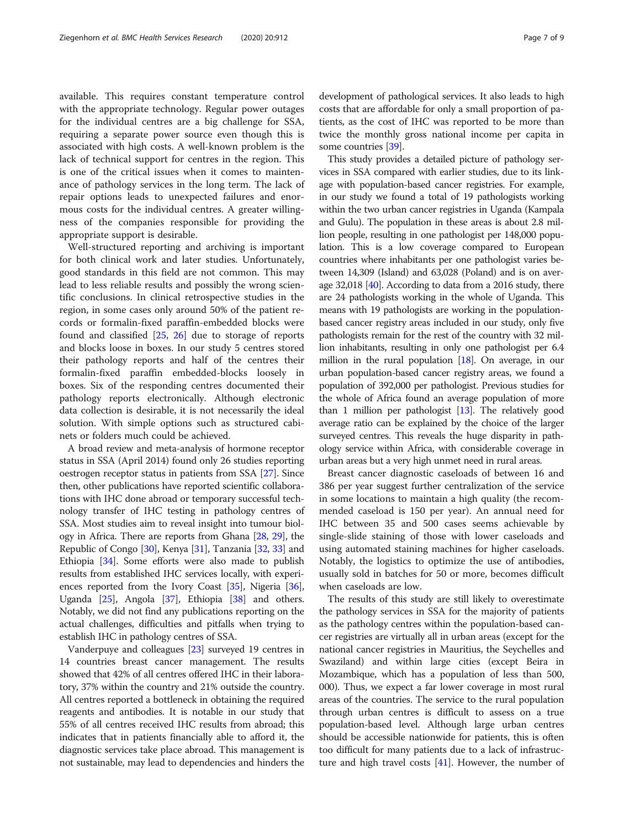available. This requires constant temperature control with the appropriate technology. Regular power outages for the individual centres are a big challenge for SSA, requiring a separate power source even though this is associated with high costs. A well-known problem is the lack of technical support for centres in the region. This is one of the critical issues when it comes to maintenance of pathology services in the long term. The lack of repair options leads to unexpected failures and enormous costs for the individual centres. A greater willingness of the companies responsible for providing the appropriate support is desirable.

Well-structured reporting and archiving is important for both clinical work and later studies. Unfortunately, good standards in this field are not common. This may lead to less reliable results and possibly the wrong scientific conclusions. In clinical retrospective studies in the region, in some cases only around 50% of the patient records or formalin-fixed paraffin-embedded blocks were found and classified [[25,](#page-8-0) [26](#page-8-0)] due to storage of reports and blocks loose in boxes. In our study 5 centres stored their pathology reports and half of the centres their formalin-fixed paraffin embedded-blocks loosely in boxes. Six of the responding centres documented their pathology reports electronically. Although electronic data collection is desirable, it is not necessarily the ideal solution. With simple options such as structured cabinets or folders much could be achieved.

A broad review and meta-analysis of hormone receptor status in SSA (April 2014) found only 26 studies reporting oestrogen receptor status in patients from SSA [\[27](#page-8-0)]. Since then, other publications have reported scientific collaborations with IHC done abroad or temporary successful technology transfer of IHC testing in pathology centres of SSA. Most studies aim to reveal insight into tumour biology in Africa. There are reports from Ghana [[28](#page-8-0), [29](#page-8-0)], the Republic of Congo [\[30](#page-8-0)], Kenya [\[31](#page-8-0)], Tanzania [[32](#page-8-0), [33\]](#page-8-0) and Ethiopia [\[34\]](#page-8-0). Some efforts were also made to publish results from established IHC services locally, with experiences reported from the Ivory Coast [\[35\]](#page-8-0), Nigeria [[36](#page-8-0)], Uganda [\[25](#page-8-0)], Angola [[37](#page-8-0)], Ethiopia [\[38\]](#page-8-0) and others. Notably, we did not find any publications reporting on the actual challenges, difficulties and pitfalls when trying to establish IHC in pathology centres of SSA.

Vanderpuye and colleagues [\[23\]](#page-8-0) surveyed 19 centres in 14 countries breast cancer management. The results showed that 42% of all centres offered IHC in their laboratory, 37% within the country and 21% outside the country. All centres reported a bottleneck in obtaining the required reagents and antibodies. It is notable in our study that 55% of all centres received IHC results from abroad; this indicates that in patients financially able to afford it, the diagnostic services take place abroad. This management is not sustainable, may lead to dependencies and hinders the development of pathological services. It also leads to high costs that are affordable for only a small proportion of patients, as the cost of IHC was reported to be more than twice the monthly gross national income per capita in some countries [\[39\]](#page-8-0).

This study provides a detailed picture of pathology services in SSA compared with earlier studies, due to its linkage with population-based cancer registries. For example, in our study we found a total of 19 pathologists working within the two urban cancer registries in Uganda (Kampala and Gulu). The population in these areas is about 2.8 million people, resulting in one pathologist per 148,000 population. This is a low coverage compared to European countries where inhabitants per one pathologist varies between 14,309 (Island) and 63,028 (Poland) and is on average 32,018 [[40](#page-8-0)]. According to data from a 2016 study, there are 24 pathologists working in the whole of Uganda. This means with 19 pathologists are working in the populationbased cancer registry areas included in our study, only five pathologists remain for the rest of the country with 32 million inhabitants, resulting in only one pathologist per 6.4 million in the rural population [\[18\]](#page-8-0). On average, in our urban population-based cancer registry areas, we found a population of 392,000 per pathologist. Previous studies for the whole of Africa found an average population of more than 1 million per pathologist  $[13]$  $[13]$ . The relatively good average ratio can be explained by the choice of the larger surveyed centres. This reveals the huge disparity in pathology service within Africa, with considerable coverage in urban areas but a very high unmet need in rural areas.

Breast cancer diagnostic caseloads of between 16 and 386 per year suggest further centralization of the service in some locations to maintain a high quality (the recommended caseload is 150 per year). An annual need for IHC between 35 and 500 cases seems achievable by single-slide staining of those with lower caseloads and using automated staining machines for higher caseloads. Notably, the logistics to optimize the use of antibodies, usually sold in batches for 50 or more, becomes difficult when caseloads are low.

The results of this study are still likely to overestimate the pathology services in SSA for the majority of patients as the pathology centres within the population-based cancer registries are virtually all in urban areas (except for the national cancer registries in Mauritius, the Seychelles and Swaziland) and within large cities (except Beira in Mozambique, which has a population of less than 500, 000). Thus, we expect a far lower coverage in most rural areas of the countries. The service to the rural population through urban centres is difficult to assess on a true population-based level. Although large urban centres should be accessible nationwide for patients, this is often too difficult for many patients due to a lack of infrastructure and high travel costs  $[41]$ . However, the number of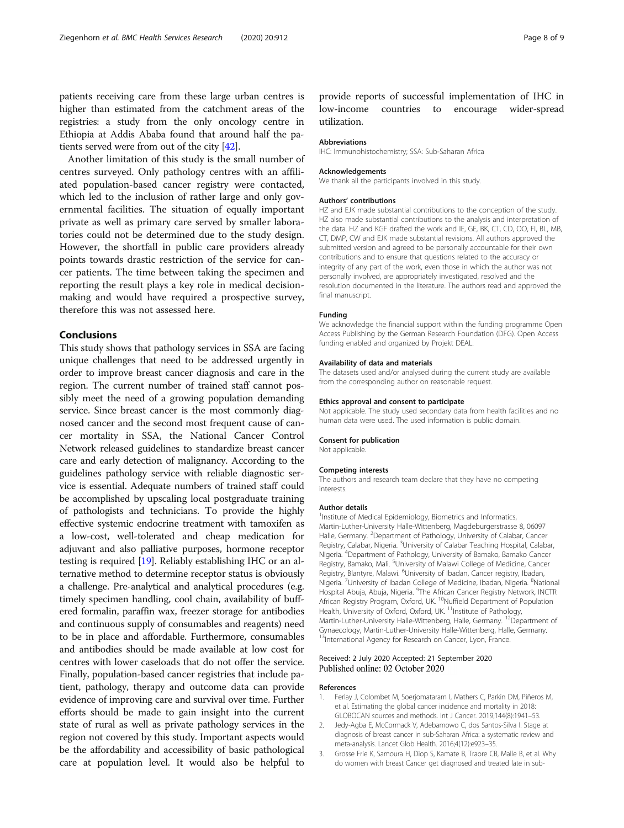<span id="page-7-0"></span>patients receiving care from these large urban centres is higher than estimated from the catchment areas of the registries: a study from the only oncology centre in Ethiopia at Addis Ababa found that around half the patients served were from out of the city [[42](#page-8-0)].

Another limitation of this study is the small number of centres surveyed. Only pathology centres with an affiliated population-based cancer registry were contacted, which led to the inclusion of rather large and only governmental facilities. The situation of equally important private as well as primary care served by smaller laboratories could not be determined due to the study design. However, the shortfall in public care providers already points towards drastic restriction of the service for cancer patients. The time between taking the specimen and reporting the result plays a key role in medical decisionmaking and would have required a prospective survey, therefore this was not assessed here.

#### Conclusions

This study shows that pathology services in SSA are facing unique challenges that need to be addressed urgently in order to improve breast cancer diagnosis and care in the region. The current number of trained staff cannot possibly meet the need of a growing population demanding service. Since breast cancer is the most commonly diagnosed cancer and the second most frequent cause of cancer mortality in SSA, the National Cancer Control Network released guidelines to standardize breast cancer care and early detection of malignancy. According to the guidelines pathology service with reliable diagnostic service is essential. Adequate numbers of trained staff could be accomplished by upscaling local postgraduate training of pathologists and technicians. To provide the highly effective systemic endocrine treatment with tamoxifen as a low-cost, well-tolerated and cheap medication for adjuvant and also palliative purposes, hormone receptor testing is required [[19](#page-8-0)]. Reliably establishing IHC or an alternative method to determine receptor status is obviously a challenge. Pre-analytical and analytical procedures (e.g. timely specimen handling, cool chain, availability of buffered formalin, paraffin wax, freezer storage for antibodies and continuous supply of consumables and reagents) need to be in place and affordable. Furthermore, consumables and antibodies should be made available at low cost for centres with lower caseloads that do not offer the service. Finally, population-based cancer registries that include patient, pathology, therapy and outcome data can provide evidence of improving care and survival over time. Further efforts should be made to gain insight into the current state of rural as well as private pathology services in the region not covered by this study. Important aspects would be the affordability and accessibility of basic pathological care at population level. It would also be helpful to

provide reports of successful implementation of IHC in low-income countries to encourage wider-spread utilization.

#### Abbreviations

IHC: Immunohistochemistry; SSA: Sub-Saharan Africa

#### Acknowledgements

We thank all the participants involved in this study.

#### Authors' contributions

HZ and EJK made substantial contributions to the conception of the study. HZ also made substantial contributions to the analysis and interpretation of the data. HZ and KGF drafted the work and IE, GE, BK, CT, CD, OO, FI, BL, MB, CT, DMP, CW and EJK made substantial revisions. All authors approved the submitted version and agreed to be personally accountable for their own contributions and to ensure that questions related to the accuracy or integrity of any part of the work, even those in which the author was not personally involved, are appropriately investigated, resolved and the resolution documented in the literature. The authors read and approved the final manuscript.

#### Funding

We acknowledge the financial support within the funding programme Open Access Publishing by the German Research Foundation (DFG). Open Access funding enabled and organized by Projekt DEAL.

#### Availability of data and materials

The datasets used and/or analysed during the current study are available from the corresponding author on reasonable request.

#### Ethics approval and consent to participate

Not applicable. The study used secondary data from health facilities and no human data were used. The used information is public domain.

#### Consent for publication

Not applicable.

#### Competing interests

The authors and research team declare that they have no competing interests.

#### Author details

<sup>1</sup>Institute of Medical Epidemiology, Biometrics and Informatics Martin-Luther-University Halle-Wittenberg, Magdeburgerstrasse 8, 06097 Halle, Germany. <sup>2</sup>Department of Pathology, University of Calabar, Cancer Registry, Calabar, Nigeria. <sup>3</sup>University of Calabar Teaching Hospital, Calabar, Nigeria. <sup>4</sup> Department of Pathology, University of Bamako, Bamako Cancer Registry, Bamako, Mali. <sup>5</sup>University of Malawi College of Medicine, Cancer Registry, Blantyre, Malawi. <sup>6</sup>University of Ibadan, Cancer registry, Ibadan, Nigeria. <sup>7</sup>University of Ibadan College of Medicine, Ibadan, Nigeria. <sup>8</sup>National Hospital Abuja, Abuja, Nigeria. <sup>9</sup>The African Cancer Registry Network, INCTR African Registry Program, Oxford, UK. <sup>10</sup>Nuffield Department of Population Health, University of Oxford, Oxford, UK.<sup>11</sup>Institute of Pathology, Martin-Luther-University Halle-Wittenberg, Halle, Germany. <sup>12</sup>Department of Gynaecology, Martin-Luther-University Halle-Wittenberg, Halle, Germany. <sup>13</sup>International Agency for Research on Cancer, Lyon, France.

#### Received: 2 July 2020 Accepted: 21 September 2020 Published online: 02 October 2020

#### References

- 1. Ferlay J, Colombet M, Soerjomataram I, Mathers C, Parkin DM, Piñeros M, et al. Estimating the global cancer incidence and mortality in 2018: GLOBOCAN sources and methods. Int J Cancer. 2019;144(8):1941–53.
- 2. Jedy-Agba E, McCormack V, Adebamowo C, dos Santos-Silva I. Stage at diagnosis of breast cancer in sub-Saharan Africa: a systematic review and meta-analysis. Lancet Glob Health. 2016;4(12):e923–35.
- 3. Grosse Frie K, Samoura H, Diop S, Kamate B, Traore CB, Malle B, et al. Why do women with breast Cancer get diagnosed and treated late in sub-